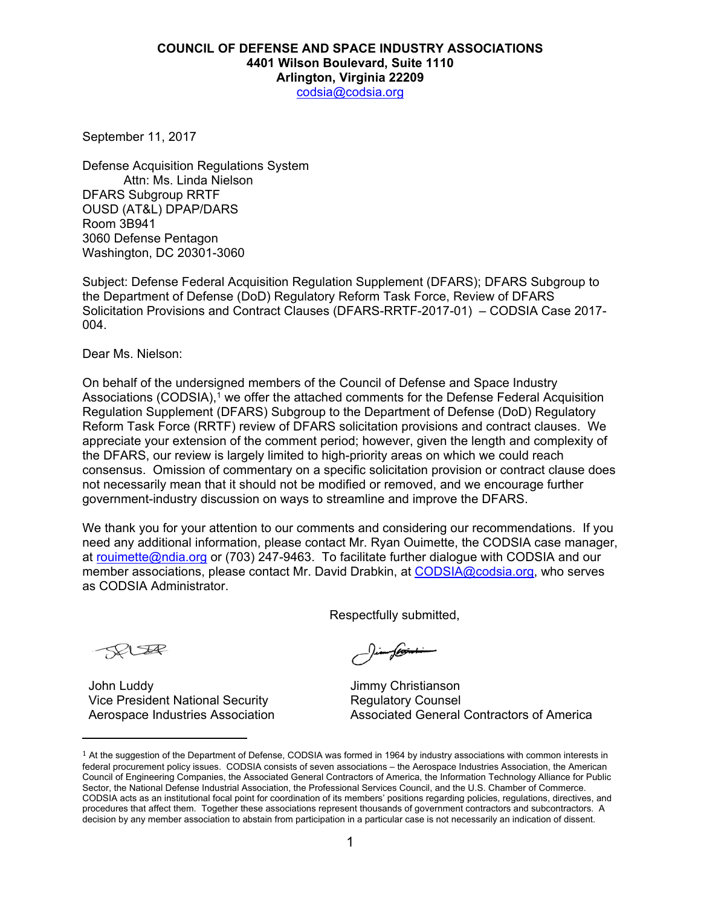## **COUNCIL OF DEFENSE AND SPACE INDUSTRY ASSOCIATIONS 4401 Wilson Boulevard, Suite 1110 Arlington, Virginia 22209**

codsia@codsia.org

September 11, 2017

Defense Acquisition Regulations System Attn: Ms. Linda Nielson DFARS Subgroup RRTF OUSD (AT&L) DPAP/DARS Room 3B941 3060 Defense Pentagon Washington, DC 20301-3060

Subject: Defense Federal Acquisition Regulation Supplement (DFARS); DFARS Subgroup to the Department of Defense (DoD) Regulatory Reform Task Force, Review of DFARS Solicitation Provisions and Contract Clauses (DFARS-RRTF-2017-01) – CODSIA Case 2017- 004.

Dear Ms. Nielson:

On behalf of the undersigned members of the Council of Defense and Space Industry Associations (CODSIA), $<sup>1</sup>$  we offer the attached comments for the Defense Federal Acquisition</sup> Regulation Supplement (DFARS) Subgroup to the Department of Defense (DoD) Regulatory Reform Task Force (RRTF) review of DFARS solicitation provisions and contract clauses. We appreciate your extension of the comment period; however, given the length and complexity of the DFARS, our review is largely limited to high-priority areas on which we could reach consensus. Omission of commentary on a specific solicitation provision or contract clause does not necessarily mean that it should not be modified or removed, and we encourage further government-industry discussion on ways to streamline and improve the DFARS.

We thank you for your attention to our comments and considering our recommendations. If you need any additional information, please contact Mr. Ryan Ouimette, the CODSIA case manager, at rouimette@ndia.org or (703) 247-9463. To facilitate further dialogue with CODSIA and our member associations, please contact Mr. David Drabkin, at CODSIA@codsia.org, who serves as CODSIA Administrator.

Respectfully submitted,

SELLA

John Luddy Vice President National Security Aerospace Industries Association

 

) im flo<del>sint i</del>

Jimmy Christianson Regulatory Counsel Associated General Contractors of America

 $1$  At the suggestion of the Department of Defense, CODSIA was formed in 1964 by industry associations with common interests in federal procurement policy issues. CODSIA consists of seven associations – the Aerospace Industries Association, the American Council of Engineering Companies, the Associated General Contractors of America, the Information Technology Alliance for Public Sector, the National Defense Industrial Association, the Professional Services Council, and the U.S. Chamber of Commerce. CODSIA acts as an institutional focal point for coordination of its members' positions regarding policies, regulations, directives, and procedures that affect them. Together these associations represent thousands of government contractors and subcontractors. A decision by any member association to abstain from participation in a particular case is not necessarily an indication of dissent.